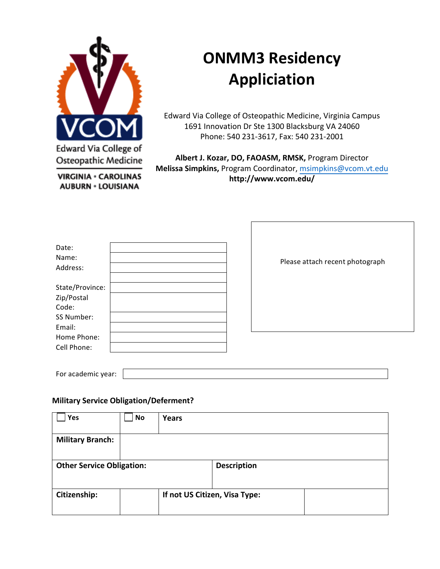

# **ONMM3 Residency Appliciation**

Edward Via College of Osteopathic Medicine, Virginia Campus 1691 Innovation Dr Ste 1300 Blacksburg VA 24060 Phone: 540 231-3617, Fax: 540 231-2001

**Albert J. Kozar, DO, FAOASM, RMSK, Program Director Melissa Simpkins, Program Coordinator, msimpkins@vcom.vt.edu http://www.vcom.edu/**

| Date:<br>Name:<br>Address:    |  |
|-------------------------------|--|
| State/Province:<br>Zip/Postal |  |
| Code:                         |  |
| SS Number:                    |  |
| Email:                        |  |
| Home Phone:<br>Cell Phone:    |  |

Please attach recent photograph

### **Military Service Obligation/Deferment?**

For academic year:

| Yes                              | No | Years |                               |
|----------------------------------|----|-------|-------------------------------|
| <b>Military Branch:</b>          |    |       |                               |
| <b>Other Service Obligation:</b> |    |       | <b>Description</b>            |
| Citizenship:                     |    |       | If not US Citizen, Visa Type: |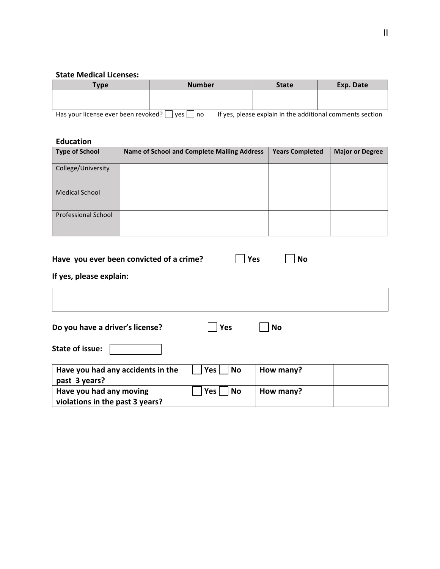#### **State Medical Licenses:**

| Type                                | <b>Number</b>              | <b>State</b> | Exp. Date                                                 |
|-------------------------------------|----------------------------|--------------|-----------------------------------------------------------|
|                                     |                            |              |                                                           |
|                                     |                            |              |                                                           |
| Has vour license ever heen revoked? | $\sqrt{2}$<br>$n_{\Omega}$ |              | If yes, please explain in the additional comments section |

Has your license ever been revoked?  $\Box$  yes  $\Box$  no If yes, please explain in the additional comments section

### **Education**

| <b>Type of School</b>      | <b>Name of School and Complete Mailing Address</b> | <b>Years Completed</b> | <b>Major or Degree</b> |
|----------------------------|----------------------------------------------------|------------------------|------------------------|
| College/University         |                                                    |                        |                        |
| <b>Medical School</b>      |                                                    |                        |                        |
| <b>Professional School</b> |                                                    |                        |                        |

| Have you ever been convicted of a crime? | Yes | $\bigsqcup$ No |
|------------------------------------------|-----|----------------|
|------------------------------------------|-----|----------------|

### **If yes, please explain:**

| Do you have a driver's license?                            | <b>Yes</b>         | No        |  |
|------------------------------------------------------------|--------------------|-----------|--|
| <b>State of issue:</b>                                     |                    |           |  |
| Have you had any accidents in the<br>past 3 years?         | <b>No</b><br>Yes   | How many? |  |
| Have you had any moving<br>violations in the past 3 years? | Yes  <br><b>No</b> | How many? |  |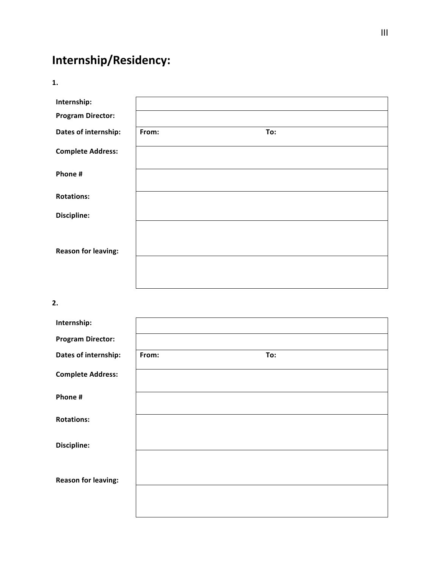## **Internship/Residency:**

**1.**

| From: | To: |  |
|-------|-----|--|
|       |     |  |
|       |     |  |
|       |     |  |
|       |     |  |
|       |     |  |
|       |     |  |
|       |     |  |
|       |     |  |
|       |     |  |

**2.**

| Internship:                |       |     |  |
|----------------------------|-------|-----|--|
| <b>Program Director:</b>   |       |     |  |
| Dates of internship:       | From: | To: |  |
| <b>Complete Address:</b>   |       |     |  |
| Phone #                    |       |     |  |
| <b>Rotations:</b>          |       |     |  |
| <b>Discipline:</b>         |       |     |  |
| <b>Reason for leaving:</b> |       |     |  |
|                            |       |     |  |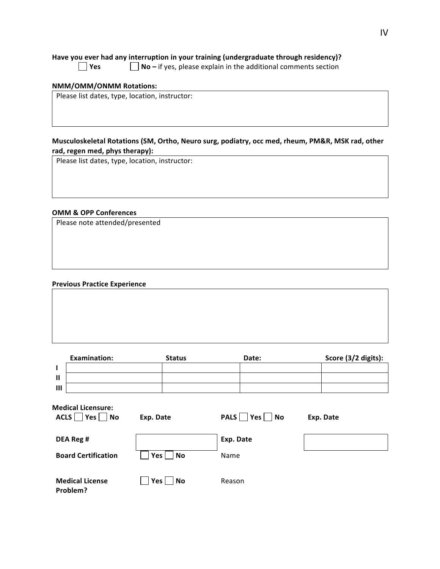#### Have you ever had any interruption in your training (undergraduate through residency)?

**Yes No** – if yes, please explain in the additional comments section

#### **NMM/OMM/ONMM Rotations:**

Please list dates, type, location, instructor:

#### Musculoskeletal Rotations (SM, Ortho, Neuro surg, podiatry, occ med, rheum, PM&R, MSK rad, other rad, regen med, phys therapy):

Please list dates, type, location, instructor:

#### **OMM & OPP Conferences**

Please note attended/presented

#### **Previous Practice Experience**

|                | <b>Examination:</b> | <b>Status</b> | Date: | Score (3/2 digits): |
|----------------|---------------------|---------------|-------|---------------------|
|                |                     |               |       |                     |
| $\mathbf{I}$   |                     |               |       |                     |
| $\mathbf{III}$ |                     |               |       |                     |

| <b>Medical Licensure:</b><br>$ Yes $ No<br>ACLS | Exp. Date     | PALS     Yes     No | Exp. Date |
|-------------------------------------------------|---------------|---------------------|-----------|
| DEA Reg #<br><b>Board Certification</b>         | Yes  <br>No   | Exp. Date<br>Name   |           |
| <b>Medical License</b><br>Problem?              | Yes<br>$ $ No | Reason              |           |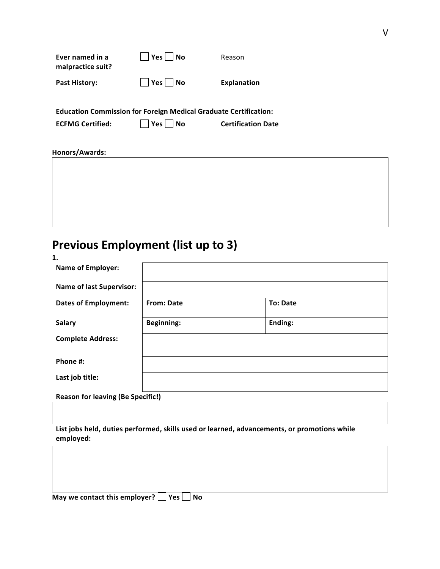| Ever named in a<br>malpractice suit? | Yes   No             | Reason             |
|--------------------------------------|----------------------|--------------------|
| <b>Past History:</b>                 | $\Box$ Yes $\Box$ No | <b>Explanation</b> |

**Education Commission for Foreign Medical Graduate Certification:** 

**ECFMG Certified: Yes No Certification Date**

#### **Honors/Awards:**

## **Previous Employment (list up to 3)**

| 1.                                       |                   |                 |  |
|------------------------------------------|-------------------|-----------------|--|
| <b>Name of Employer:</b>                 |                   |                 |  |
| <b>Name of last Supervisor:</b>          |                   |                 |  |
| <b>Dates of Employment:</b>              | <b>From: Date</b> | <b>To: Date</b> |  |
| <b>Salary</b>                            | <b>Beginning:</b> | Ending:         |  |
| <b>Complete Address:</b>                 |                   |                 |  |
| Phone #:                                 |                   |                 |  |
| Last job title:                          |                   |                 |  |
| <b>Reason for leaving (Be Specific!)</b> |                   |                 |  |

List jobs held, duties performed, skills used or learned, advancements, or promotions while **employed:**

|  |  |  | May we contact this employer? $\Box$ Yes $\Box$ No |  |  |
|--|--|--|----------------------------------------------------|--|--|
|--|--|--|----------------------------------------------------|--|--|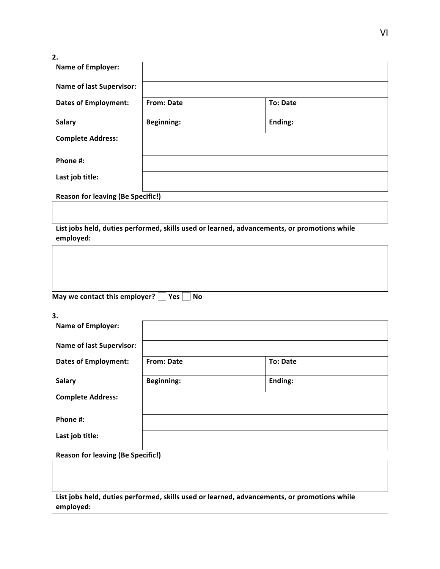**2.**

| <b>Name of Employer:</b>                 |                   |                 |  |
|------------------------------------------|-------------------|-----------------|--|
| <b>Name of last Supervisor:</b>          |                   |                 |  |
| <b>Dates of Employment:</b>              | <b>From: Date</b> | <b>To: Date</b> |  |
| <b>Salary</b>                            | <b>Beginning:</b> | Ending:         |  |
| <b>Complete Address:</b>                 |                   |                 |  |
| Phone #:                                 |                   |                 |  |
| Last job title:                          |                   |                 |  |
| <b>Reason for leaving (Be Specific!)</b> |                   |                 |  |

List jobs held, duties performed, skills used or learned, advancements, or promotions while **employed:**

| May we contact this employer? $\Box$ Yes $\Box$ No |
|----------------------------------------------------|

**3.**

| <b>Name of Employer:</b>                 |                   |                 |  |
|------------------------------------------|-------------------|-----------------|--|
| <b>Name of last Supervisor:</b>          |                   |                 |  |
| <b>Dates of Employment:</b>              | <b>From: Date</b> | <b>To: Date</b> |  |
| Salary                                   | <b>Beginning:</b> | Ending:         |  |
| <b>Complete Address:</b>                 |                   |                 |  |
| Phone #:                                 |                   |                 |  |
| Last job title:                          |                   |                 |  |
| <b>Reason for leaving (Be Specific!)</b> |                   |                 |  |

### List jobs held, duties performed, skills used or learned, advancements, or promotions while **employed:**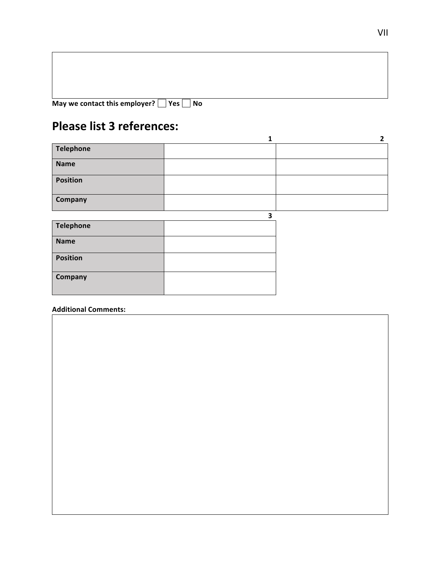| May we contact this employer? $\Box$ Yes $\Box$ No |  |
|----------------------------------------------------|--|

## **Please list 3 references:**

| <b>Telephone</b> |  |
|------------------|--|
| <b>Name</b>      |  |
| <b>Position</b>  |  |
| Company          |  |
|                  |  |

|                 | ັ |
|-----------------|---|
| Telephone       |   |
| <b>Name</b>     |   |
| <b>Position</b> |   |
| Company         |   |

| <b>Additional Comments:</b> |  |  |
|-----------------------------|--|--|
|                             |  |  |
|                             |  |  |
|                             |  |  |
|                             |  |  |
|                             |  |  |
|                             |  |  |
|                             |  |  |
|                             |  |  |
|                             |  |  |
|                             |  |  |
|                             |  |  |
|                             |  |  |
|                             |  |  |
|                             |  |  |
|                             |  |  |
|                             |  |  |
|                             |  |  |
|                             |  |  |